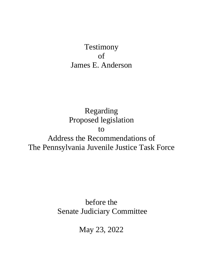# Testimony of James E. Anderson

Regarding Proposed legislation to Address the Recommendations of The Pennsylvania Juvenile Justice Task Force

> before the Senate Judiciary Committee

> > May 23, 2022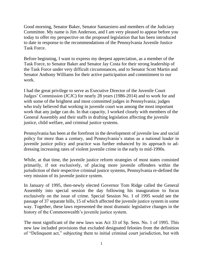Good morning, Senator Baker, Senator Santarsiero and members of the Judiciary Committee. My name is Jim Anderson, and I am very pleased to appear before you today to offer my perspective on the proposed legislation that has been introduced to date in response to the recommendations of the Pennsylvania Juvenile Justice Task Force.

Before beginning, I want to express my deepest appreciation, as a member of the Task Force, to Senator Baker and Senator Jay Costa for their strong leadership of the Task Force under very difficult circumstances, and to Senator Scott Martin and Senator Anthony Williams for their active participation and commitment to our work.

I had the great privilege to serve as Executive Director of the Juvenile Court Judges' Commission (JCJC) for nearly 28 years (1986-2014) and to work for and with some of the brightest and most committed judges in Pennsylvania; judges who truly believed that working in juvenile court was among the most important work that any judge can do. In that capacity, I worked closely with members of the General Assembly and their staffs in drafting legislation affecting the juvenile justice, child welfare, and criminal justice systems.

Pennsylvania has been at the forefront in the development of juvenile law and social policy for more than a century, and Pennsylvania's status as a national leader in juvenile justice policy and practice was further enhanced by its approach to addressing increasing rates of violent juvenile crime in the early to mid-1990s.

While, at that time, the juvenile justice reform strategies of most states consisted primarily, if not exclusively, of placing more juvenile offenders within the jurisdiction of their respective criminal justice systems, Pennsylvania re-defined the very mission of its juvenile justice system.

In January of 1995, then-newly elected Governor Tom Ridge called the General Assembly into special session the day following his inauguration to focus exclusively on the issue of crime. Special Session No. 1 of 1995 would see the passage of 37 separate bills, 15 of which affected the juvenile justice system in some way. Together, these laws represented the most dramatic legislative changes in the history of the Commonwealth's juvenile justice system.

The most significant of the new laws was Act 33 of Sp. Sess. No. 1 of 1995. This new law included provisions that excluded designated felonies from the definition of "Delinquent act," subjecting them to initial criminal court jurisdiction, but with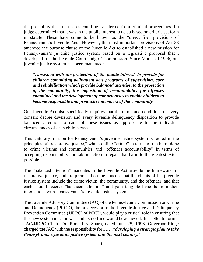the possibility that such cases could be transferred from criminal proceedings if a judge determined that it was in the public interest to do so based on criteria set forth in statute. These have come to be known as the "direct file" provisions of Pennsylvania's Juvenile Act. However, the most important provisions of Act 33 amended the purpose clause of the Juvenile Act to established a new mission for Pennsylvania's juvenile justice system based on a legislative proposal that I developed for the Juvenile Court Judges' Commission. Since March of 1996, our juvenile justice system has been mandated:

*"consistent with the protection of the public interest, to provide for children committing delinquent acts programs of supervision, care and rehabilitation which provide balanced attention to the protection of the community, the imposition of accountability for offenses committed and the development of competencies to enable children to become responsible and productive members of the community."* 

Our Juvenile Act also specifically requires that the terms and conditions of every consent decree diversion and every juvenile delinquency disposition to provide balanced attention to each of these issues as appropriate to the individual circumstances of each child's case.

This statutory mission for Pennsylvania's juvenile justice system is rooted in the principles of "restorative justice," which define "crime" in terms of the harm done to crime victims and communities and "offender accountability" in terms of accepting responsibility and taking action to repair that harm to the greatest extent possible.

The "balanced attention" mandates in the Juvenile Act provide the framework for restorative justice, and are premised on the concept that the clients of the juvenile justice system include the crime victim, the community, and the offender, and that each should receive "balanced attention" and gain tangible benefits from their interactions with Pennsylvania's juvenile justice system.

The Juvenile Advisory Committee (JAC) of the Pennsylvania Commission on Crime and Delinquency (PCCD), the predecessor to the Juvenile Justice and Delinquency Prevention Committee (JJDPC) of PCCD, would play a critical role in ensuring that this new system mission was understood and would be achieved. In a letter to former JAC/JJDPC Chair, Dr. Ronald E. Sharp, dated June 25, 1996, Governor Ridge charged the JAC with the responsibility for*……."developing a strategic plan to take Pennsylvania's juvenile justice system into the next century."*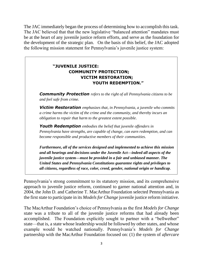The JAC immediately began the process of determining how to accomplish this task. The JAC believed that that the new legislative "balanced attention" mandates must be at the heart of any juvenile justice reform efforts, and serve as the foundation for the development of the strategic plan. On the basis of this belief, the JAC adopted the following mission statement for Pennsylvania's juvenile justice system:

# **"JUVENILE JUSTICE: COMMUNITY PROTECTION; VICTIM RESTORATION; YOUTH REDEMPTION."**

*Community Protection refers to the right of all Pennsylvania citizens to be and feel safe from crime*.

*Victim Restoration emphasizes that, in Pennsylvania, a juvenile who commits a crime harms the victim of the crime and the community, and thereby incurs an obligation to repair that harm to the greatest extent possible*.

*Youth Redemption embodies the belief that juvenile offenders in Pennsylvania have strengths, are capable of change, can earn redemption, and can become responsible and productive members of their communities*.

*Furthermore, all of the services designed and implemented to achieve this mission and all hearings and decisions under the Juvenile Act—indeed all aspects of the juvenile justice system—must be provided in a fair and unbiased manner. The United States and Pennsylvania Constitutions guarantee rights and privileges to all citizens, regardless of race, color, creed, gender, national origin or handicap*.

Pennsylvania's strong commitment to its statutory mission, and its comprehensive approach to juvenile justice reform, continued to garner national attention and, in 2004, the John D. and Catherine T. MacArthur Foundation selected Pennsylvania as the first state to participate in its *Models for Change* juvenile justice reform initiative.

The MacArthur Foundation's choice of Pennsylvania as the first *Models for Change* state was a tribute to all of the juvenile justice reforms that had already been accomplished. The Foundation explicitly sought to partner with a "bellwether" state—that is, a state whose leadership would be followed by other states, and whose example would be watched nationally. Pennsylvania's *Models for Change* partnership with the MacArthur Foundation focused on: (1) the system of *aftercare*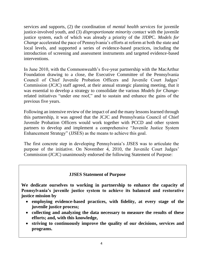services and supports, (2) the coordination of *mental health services* for juvenile justice-involved youth, and (3) *disproportionate minority contact* with the juvenile justice system, each of which was already a priority of the JJDPC. *Models for Change* accelerated the pace of Pennsylvania's efforts at reform at both the state and local levels, and supported a series of evidence-based practices, including the introduction of screening and assessment instruments and targeted evidence-based interventions.

In June 2010, with the Commonwealth's five-year partnership with the MacArthur Foundation drawing to a close, the Executive Committee of the Pennsylvania Council of Chief Juvenile Probation Officers and Juvenile Court Judges' Commission (JCJC) staff agreed, at their annual strategic planning meeting, that it was essential to develop a strategy to consolidate the various *Models for Change*related initiatives "under one roof," and to sustain and enhance the gains of the previous five years.

Following an intensive review of the impact of and the many lessons learned through this partnership, it was agreed that the JCJC and Pennsylvania Council of Chief Juvenile Probation Officers would work together with PCCD and other system partners to develop and implement a comprehensive "Juvenile Justice System Enhancement Strategy" (JJSES) as the means to achieve this goal.

The first concrete step in developing Pennsylvania's JJSES was to articulate the purpose of the initiative. On November 4, 2010, the Juvenile Court Judges' Commission (JCJC) unanimously endorsed the following Statement of Purpose:

### **JJSES Statement of Purpose**

**We dedicate ourselves to working in partnership to enhance the capacity of Pennsylvania's juvenile justice system to achieve its balanced and restorative justice mission by**

- **employing evidence-based practices, with fidelity, at every stage of the juvenile justice process;**
- **collecting and analyzing the data necessary to measure the results of these efforts; and, with this knowledge,**
- **striving to continuously improve the quality of our decisions, services and programs.**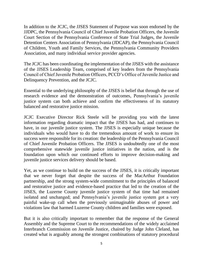In addition to the JCJC, the JJSES Statement of Purpose was soon endorsed by the JJDPC, the Pennsylvania Council of Chief Juvenile Probation Officers, the Juvenile Court Section of the Pennsylvania Conference of State Trial Judges, the Juvenile Detention Centers Association of Pennsylvania (JDCAP), the Pennsylvania Council of Children, Youth and Family Services, the Pennsylvania Community Providers Association, and many individual service provider agencies.

The JCJC has been coordinating the implementation of the JJSES with the assistance of the JJSES Leadership Team, comprised of key leaders from the Pennsylvania Council of Chief Juvenile Probation Officers, PCCD's Office of Juvenile Justice and Delinquency Prevention, and the JCJC.

Essential to the underlying philosophy of the JJSES is belief that through the use of research evidence and the demonstration of outcomes, Pennsylvania's juvenile justice system can both achieve and confirm the effectiveness of its statutory balanced and restorative justice mission.

JCJC Executive Director Rick Steele will be providing you with the latest information regarding dramatic impact that the JJSES has had, and continues to have, in our juvenile justice system. The JJSES is especially unique because the individuals who would have to do the tremendous amount of work to ensure its success were responsible for its creation: the leadership of the Pennsylvania Council of Chief Juvenile Probation Officers. The JJSES is undoubtedly one of the most comprehensive statewide juvenile justice initiatives in the nation, and is the foundation upon which our continued efforts to improve decision-making and juvenile justice services delivery should be based.

Yet, as we continue to build on the success of the JJSES, it is critically important that we never forget that despite the success of the MacArthur Foundation partnership, and the strong system-wide commitment to the principles of balanced and restorative justice and evidence-based practice that led to the creation of the JJSES, the Luzerne County juvenile justice system of that time had remained isolated and unchanged; and Pennsylvania's juvenile justice system got a very painful wake-up call when the previously unimaginable abuses of power and violations law that harmed Luzerne County children and families were exposed.

But it is also critically important to remember that the response of the General Assembly and the Supreme Court to the recommendations of the widely acclaimed Interbranch Commission on Juvenile Justice, chaired by Judge John Cleland, has created what is arguably among the strongest combinations of statutory procedural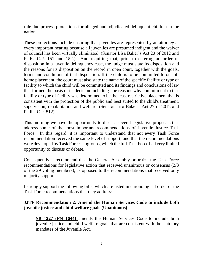rule due process protections for alleged and adjudicated delinquent children in the nation.

These protections include ensuring that juveniles are represented by an attorney at every important hearing because all juveniles are presumed indigent and the waiver of counsel has been virtually eliminated. (Senator Lisa Baker's Act 23 of 2012 and Pa.R.J.C.P. 151 and 152.) And requiring that, prior to entering an order of disposition in a juvenile delinquency case, the judge must state its disposition and the reasons for its disposition on the record in open court, together with the goals, terms and conditions of that disposition. If the child is to be committed to out-ofhome placement, the court must also state the name of the specific facility or type of facility to which the child will be committed and its findings and conclusions of law that formed the basis of its decision including the reasons why commitment to that facility or type of facility was determined to be the least restrictive placement that is consistent with the protection of the public and best suited to the child's treatment, supervision, rehabilitation and welfare. (Senator Lisa Baker's Act 22 of 2012 and Pa.R.J.C.P. 512).

This morning we have the opportunity to discuss several legislative proposals that address some of the most important recommendations of Juvenile Justice Task Force. In this regard, it is important to understand that not every Task Force recommendation received the same level of support, and that the recommendations were developed by Task Force subgroups, which the full Task Force had very limited opportunity to discuss or debate.

Consequently, I recommend that the General Assembly prioritize the Task Force recommendations for legislative action that received unanimous or consensus (2/3 of the 29 voting members), as opposed to the recommendations that received only majority support.

I strongly support the following bills, which are listed in chronological order of the Task Force recommendations that they address:

### **JJTF Recommendation 2: Amend the Human Services Code to include both juvenile justice and child welfare goals (Unanimous)**

**SB 1227 (PN 1644)** amends the Human Services Code to include both juvenile justice and child welfare goals that are consistent with the statutory mandates of the Juvenile Act.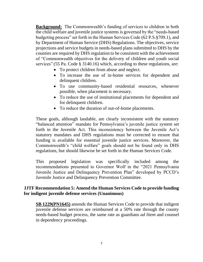**Background:** The Commonwealth's funding of services to children in both the child welfare and juvenile justice systems is governed by the "needs-based budgeting process" set forth in the Human Services Code (62 P.S.§709.1), and by Department of Human Service (DHS) Regulations. The objectives, service projections and service budgets in needs-based plans submitted to DHS by the counties are required by DHS regulation to be consistent with the achievement of "Commonwealth objectives for the delivery of children and youth social services" (55 Pa. Code § 3140.16) which, according to these regulations, are:

- To protect children from abuse and neglect.
- To increase the use of in-home services for dependent and delinquent children.
- To use community-based residential resources, whenever possible, when placement is necessary.
- To reduce the use of institutional placements for dependent and for delinquent children.
- To reduce the duration of out-of-home placements.

These goals, although laudable, are clearly inconsistent with the statutory "balanced attention" mandate for Pennsylvania's juvenile justice system set forth in the Juvenile Act. This inconsistency between the Juvenile Act's statutory mandates and DHS regulations must be corrected to ensure that funding is available for essential juvenile justice services. Moreover, the Commonwealth's "child welfare" goals should not be found only in DHS regulations, but should likewise be set forth in the Human Services Code.

This proposed legislation was specifically included among the recommendations presented to Governor Wolf in the "2021 Pennsylvania Juvenile Justice and Delinquency Prevention Plan" developed by PCCD's Juvenile Justice and Delinquency Prevention Committee.

### **JJTF Recommendation 5: Amend the Human Services Code to provide funding for indigent juvenile defense services (Unanimous)**

**SB 1229(PN1645)** amends the Human Services Code to provide that indigent juvenile defense services are reimbursed at a 50% rate through the county needs-based budget process, the same rate as guardians *ad litem* and counsel in dependency proceedings.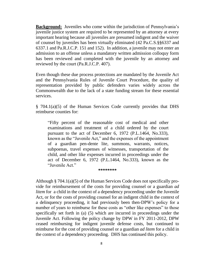**Background:** Juveniles who come within the jurisdiction of Pennsylvania's juvenile justice system are required to be represented by an attorney at every important hearing because all juveniles are presumed indigent and the waiver of counsel by juveniles has been virtually eliminated (42 Pa.C.S.§§6337 and 6337.1 and Pa.R.J.C.P. 151 and 152). In addition, a juvenile may not enter an admission to an offense unless a mandatory written admission colloquy form has been reviewed and completed with the juvenile by an attorney and reviewed by the court (Pa.R.J.C.P. 407).

Even though these due process protections are mandated by the Juvenile Act and the Pennsylvania Rules of Juvenile Court Procedure, the quality of representation provided by public defenders varies widely across the Commonwealth due to the lack of a state funding stream for these essential services.

§ 704.1(a)(5) of the Human Services Code currently provides that DHS reimburse counties for:

"Fifty percent of the reasonable cost of medical and other examinations and treatment of a child ordered by the court pursuant to the act of December 6, 1972 (P.L.1464, No.333), known as the "Juvenile Act," and the expenses of the appointment of a guardian pen-dente lite, summons, warrants, notices, subpoenas, travel expenses of witnesses, transportation of the child, and other like expenses incurred in proceedings under the act of December 6, 1972 (P.L.1464, No.333), known as the "Juvenile Act."

**\*\*\*\*\*\*\*\***

Although § 704.1(a)(5) of the Human Services Code does not specifically provide for reimbursement of the costs for providing counsel or a guardian *ad litem* for a child in the context of a dependency proceeding under the Juvenile Act, or for the costs of providing counsel for an indigent child in the context of a delinquency proceeding, it had previously been then-DPW's policy for a number of years to reimburse for these costs as "other like expenses" to those specifically set forth in (a) (5) which are incurred in proceedings under the Juvenile Act. Following the policy change by DPW in FY 2011-2012, DPW ceased reimbursing for indigent juvenile defense costs, but continued to reimburse for the cost of providing counsel or a guardian *ad litem* for a child in the context of a dependency proceeding. DHS has continued this policy.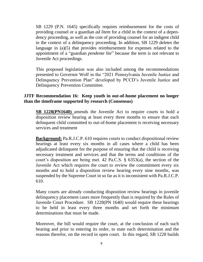SB 1229 (P.N. 1645) specifically requires reimbursement for the costs of providing counsel or a guardian *ad litem* for a child in the context of a dependency proceeding, as well as the cost of providing counsel for an indigent child in the context of a delinquency proceeding. In addition, SB 1229 deletes the language in (a)(5) that provides reimbursement for expenses related to the appointment of a "guardian *pendente lite*" because the term is not relevant to Juvenile Act proceedings.

This proposed legislation was also included among the recommendations presented to Governor Wolf in the "2021 Pennsylvania Juvenile Justice and Delinquency Prevention Plan" developed by PCCD's Juvenile Justice and Delinquency Prevention Committee.

#### **JJTF Recommendation 16: Keep youth in out-of-home placement no longer than the timeframe supported by research (Consensus)**

**SB 1228(PN1640)** amends the Juvenile Act to require courts to hold a disposition review hearing at least every three months to ensure that each delinquent child committed to out-of-home placement is receiving necessary services and treatment

**Background:** Pa.R.J.C.P. 610 requires courts to conduct dispositional review hearings at least every six months in all cases where a child has been adjudicated delinquent for the purpose of ensuring that the child is receiving necessary treatment and services and that the terms and conditions of the court's disposition are being met. 42 Pa.C.S. § 6353(a), the section of the Juvenile Act which requires the court to review the commitment every six months and to hold a disposition review hearing every nine months, was suspended by the Supreme Court in so far as it is inconsistent with Pa.R.J.C.P. 610.

Many courts are already conducting disposition review hearings in juvenile delinquency placement cases more frequently than is required by the Rules of Juvenile Court Procedure. SB 1228(PN 1640) would require these hearings to be held in least every three months and set forth the minimum determinations that must be made.

Moreover, the bill would require the court, at the conclusion of each such hearing and prior to entering its order, to state each determination and the reasons therefor, on the record in open court. In this regard, SB 1228 builds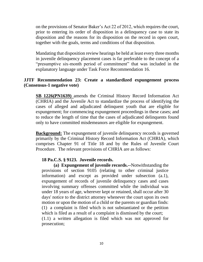on the provisions of Senator Baker's Act 22 of 2012, which requires the court, prior to entering its order of disposition in a delinquency case to state its disposition and the reasons for its disposition on the record in open court, together with the goals, terms and conditions of that disposition.

Mandating that disposition review hearings be held at least every three months in juvenile delinquency placement cases is far preferable to the concept of a "presumptive six-month period of commitment" that was included in the explanatory language under Task Force Recommendation 16.

#### **JJTF Recommendation 23: Create a standardized expungement process (Consensus-1 negative vote)**

**SB 1226(PN1639)** amends the Criminal History Record Information Act (CHRIA) and the Juvenile Act to standardize the process of identifying the cases of alleged and adjudicated delinquent youth that are eligible for expungement; for commencing expungement proceedings in these cases; and to reduce the length of time that the cases of adjudicated delinquents found only to have committed misdemeanors are eligible for expungement.

**Background:** The expungement of juvenile delinquency records is governed primarily by the Criminal History Record Information Act (CHRIA), which comprises Chapter 91 of Title 18 and by the Rules of Juvenile Court Procedure. The relevant provisions of CHRIA are as follows:

#### **18 Pa.C.S. § 9123. Juvenile records.**

**(a) Expungement of juvenile records.--**Notwithstanding the provisions of section 9105 (relating to other criminal justice information) and except as provided under subsection (a.1), expungement of records of juvenile delinquency cases and cases involving summary offenses committed while the individual was under 18 years of age, wherever kept or retained, shall occur after 30 days' notice to the district attorney whenever the court upon its own motion or upon the motion of a child or the parents or guardian finds: (1) a complaint is filed which is not substantiated or the petition which is filed as a result of a complaint is dismissed by the court; (1.1) a written allegation is filed which was not approved for prosecution;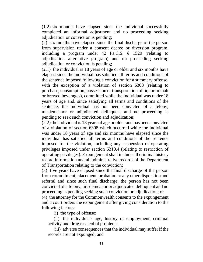(1.2) six months have elapsed since the individual successfully completed an informal adjustment and no proceeding seeking adjudication or conviction is pending;

(2) six months have elapsed since the final discharge of the person from supervision under a consent decree or diversion program, including a program under 42 Pa.C.S. § 1520 (relating to adjudication alternative program) and no proceeding seeking adjudication or conviction is pending;

(2.1) the individual is 18 years of age or older and six months have elapsed since the individual has satisfied all terms and conditions of the sentence imposed following a conviction for a summary offense, with the exception of a violation of section 6308 (relating to purchase, consumption, possession or transportation of liquor or malt or brewed beverages), committed while the individual was under 18 years of age and, since satisfying all terms and conditions of the sentence, the individual has not been convicted of a felony, misdemeanor or adjudicated delinquent and no proceeding is pending to seek such conviction and adjudication;

(2.2) the individual is 18 years of age or older and has been convicted of a violation of section 6308 which occurred while the individual was under 18 years of age and six months have elapsed since the individual has satisfied all terms and conditions of the sentence imposed for the violation, including any suspension of operating privileges imposed under section 6310.4 (relating to restriction of operating privileges). Expungement shall include all criminal history record information and all administrative records of the Department of Transportation relating to the conviction;

(3) five years have elapsed since the final discharge of the person from commitment, placement, probation or any other disposition and referral and since such final discharge, the person has not been convicted of a felony, misdemeanor or adjudicated delinquent and no proceeding is pending seeking such conviction or adjudication; or

(4) the attorney for the Commonwealth consents to the expungement and a court orders the expungement after giving consideration to the following factors:

(i) the type of offense;

(ii) the individual's age, history of employment, criminal activity and drug or alcohol problems;

(iii) adverse consequences that the individual may suffer if the records are not expunged; and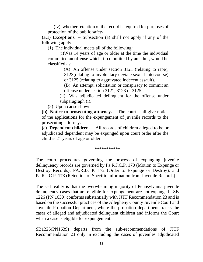(iv) whether retention of the record is required for purposes of protection of the public safety.

**(a.1) Exceptions. --** Subsection (a) shall not apply if any of the following apply:

(1) The individual meets all of the following:

(i)Was 14 years of age or older at the time the individual committed an offense which, if committed by an adult, would be classified as:

> (A) An offense under section 3121 (relating to rape), 3123(relating to involuntary deviate sexual intercourse)

or 3125 (relating to aggravated indecent assault).

(B) An attempt, solicitation or conspiracy to commit an offense under section 3121, 3123 or 3125.

(ii) Was adjudicated delinquent for the offense under subparagraph (i).

(2) Upon cause shown.

**(b) Notice to prosecuting attorney. --** The court shall give notice of the applications for the expungement of juvenile records to the prosecuting attorney.

**(c) Dependent children. --** All records of children alleged to be or adjudicated dependent may be expunged upon court order after the child is 21 years of age or older.

#### **\*\*\*\*\*\*\*\*\*\*\***

The court procedures governing the process of expunging juvenile delinquency records are governed by Pa.R.J.C.P. 170 (Motion to Expunge or Destroy Records), PA.R.J.C.P. 172 (Order to Expunge or Destroy), and Pa.R.J.C.P. 173 (Retention of Specific Information from Juvenile Records).

The sad reality is that the overwhelming majority of Pennsylvania juvenile delinquency cases that are eligible for expungement are not expunged. SB 1226 (PN 1639) conforms substantially with JJTF Recommendation 23 and is based on the successful practices of the Allegheny County Juvenile Court and Juvenile Probation Department, where the probation department tracks the cases of alleged and adjudicated delinquent children and informs the Court when a case is eligible for expungement.

SB1226(PN1639) departs from the sub-recommendations of JJTF Recommendation 23 only in excluding the cases of juveniles adjudicated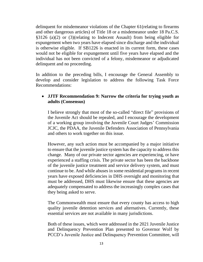delinquent for misdemeanor violations of the Chapter 61(relating to firearms and other dangerous articles) of Title 18 or a misdemeanor under 18 Pa.C.S. §3126 (a)(2) or (3)(relating to Indecent Assault) from being eligible for expungement when two years have elapsed since discharge and the individual is otherwise eligible. If SB1226 is enacted in its current form, these cases would not be eligible for expungement until five years have elapsed and the individual has not been convicted of a felony, misdemeanor or adjudicated delinquent and no proceeding.

In addition to the preceding bills, I encourage the General Assembly to develop and consider legislation to address the following Task Force Recommendations:

### • **JJTF Recommendation 9: Narrow the criteria for trying youth as adults (Consensus)**

I believe strongly that most of the so-called "direct file" provisions of the Juvenile Act should be repealed, and I encourage the development of a working group involving the Juvenile Court Judges' Commission JCJC, the PDAA, the Juvenile Defenders Association of Pennsylvania and others to work together on this issue.

However, any such action must be accompanied by a major initiative to ensure that the juvenile justice system has the capacity to address this change. Many of our private sector agencies are experiencing, or have experienced a staffing crisis. The private sector has been the backbone of the juvenile justice treatment and service delivery system, and must continue to be. And while abuses in some residential programs in recent years have exposed deficiencies in DHS oversight and monitoring that must be addressed, DHS must likewise ensure that these agencies are adequately compensated to address the increasingly complex cases that they being asked to serve.

The Commonwealth must ensure that every county has access to high quality juvenile detention services and alternatives. Currently, these essential services are not available in many jurisdictions.

Both of these issues, which were addressed in the 2021 Juvenile Justice and Delinquency Prevention Plan presented to Governor Wolf by PCCD's Juvenile Justice and Delinquency Prevention Committee, will